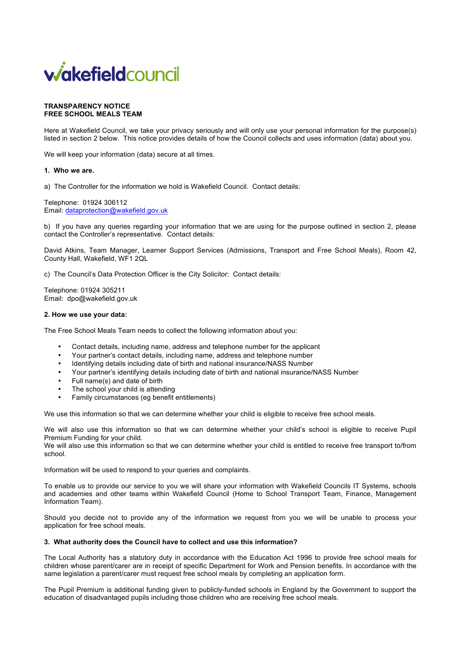# **wakefieldcouncil**

### **TRANSPARENCY NOTICE FREE SCHOOL MEALS TEAM**

Here at Wakefield Council, we take your privacy seriously and will only use your personal information for the purpose(s) listed in section 2 below. This notice provides details of how the Council collects and uses information (data) about you.

We will keep your information (data) secure at all times.

# **1. Who we are.**

a) The Controller for the information we hold is Wakefield Council. Contact details:

Telephone: 01924 306112 Email: dataprotection@wakefield.gov.uk

b) If you have any queries regarding your information that we are using for the purpose outlined in section 2, please contact the Controller's representative. Contact details:

David Atkins, Team Manager, Learner Support Services (Admissions, Transport and Free School Meals), Room 42, County Hall, Wakefield, WF1 2QL

c) The Council's Data Protection Officer is the City Solicitor: Contact details:

Telephone: 01924 305211 Email: dpo@wakefield.gov.uk

# **2. How we use your data:**

The Free School Meals Team needs to collect the following information about you:

- Contact details, including name, address and telephone number for the applicant
- Your partner's contact details, including name, address and telephone number
- Identifying details including date of birth and national insurance/NASS Number
- Your partner's identifying details including date of birth and national insurance/NASS Number
- Full name(s) and date of birth
- The school your child is attending
- Family circumstances (eg benefit entitlements)

We use this information so that we can determine whether your child is eligible to receive free school meals.

We will also use this information so that we can determine whether your child's school is eligible to receive Pupil Premium Funding for your child.

We will also use this information so that we can determine whether your child is entitled to receive free transport to/from school.

Information will be used to respond to your queries and complaints.

To enable us to provide our service to you we will share your information with Wakefield Councils IT Systems, schools and academies and other teams within Wakefield Council (Home to School Transport Team, Finance, Management Information Team).

Should you decide not to provide any of the information we request from you we will be unable to process your application for free school meals.

# **3. What authority does the Council have to collect and use this information?**

The Local Authority has a statutory duty in accordance with the Education Act 1996 to provide free school meals for children whose parent/carer are in receipt of specific Department for Work and Pension benefits. In accordance with the same legislation a parent/carer must request free school meals by completing an application form.

The Pupil Premium is additional funding given to publicly-funded schools in England by the Government to support the education of disadvantaged pupils including those children who are receiving free school meals.